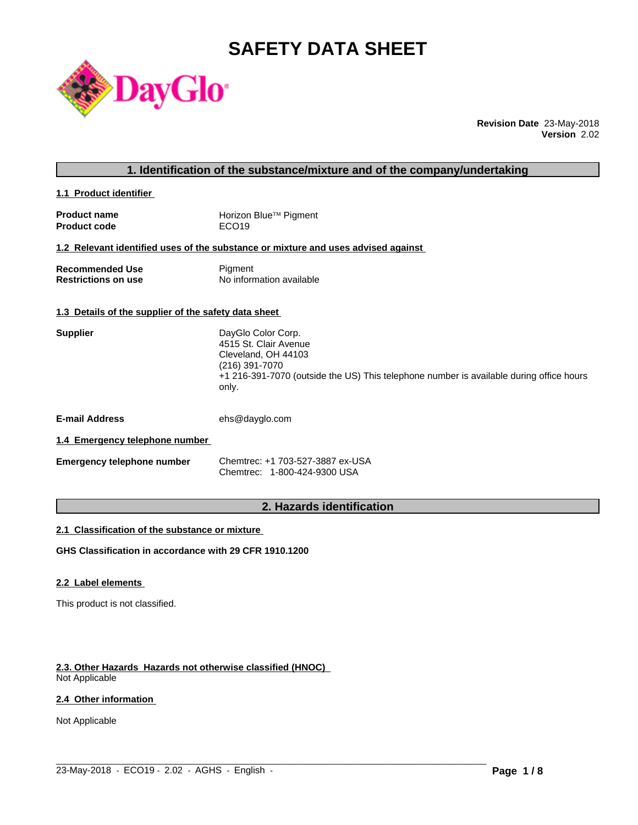# **SAFETY DATA SHEET**



**Revision Date** 23-May-2018 **Version** 2.02

### **1. Identification of the substance/mixture and of the company/undertaking**

**1.1 Product identifier** 

| <b>Product name</b> | Horizon Blue™ Pigment |
|---------------------|-----------------------|
| <b>Product code</b> | ECO <sub>19</sub>     |

#### **1.2 Relevant identified uses of the substance or mixture and uses advised against**

| <b>Recommended Use</b>     | Pigment                  |
|----------------------------|--------------------------|
| <b>Restrictions on use</b> | No information available |

#### **1.3 Details of the supplier of the safety data sheet**

| <b>Supplier</b> | DayGlo Color Corp.<br>4515 St. Clair Avenue                                                      |
|-----------------|--------------------------------------------------------------------------------------------------|
|                 | Cleveland, OH 44103<br>(216) 391-7070                                                            |
|                 | +1 216-391-7070 (outside the US) This telephone number is available during office hours<br>only. |
|                 |                                                                                                  |

**E-mail Address** ehs@dayglo.com

### **1.4 Emergency telephone number**

| <b>Emergency telephone number</b> | Chemtrec: +1 703-527-3887 ex-USA |
|-----------------------------------|----------------------------------|
|                                   | Chemtrec: 1-800-424-9300 USA     |

# **2. Hazards identification**

 $\_$  ,  $\_$  ,  $\_$  ,  $\_$  ,  $\_$  ,  $\_$  ,  $\_$  ,  $\_$  ,  $\_$  ,  $\_$  ,  $\_$  ,  $\_$  ,  $\_$  ,  $\_$  ,  $\_$  ,  $\_$  ,  $\_$  ,  $\_$  ,  $\_$  ,  $\_$  ,  $\_$  ,  $\_$  ,  $\_$  ,  $\_$  ,  $\_$  ,  $\_$  ,  $\_$  ,  $\_$  ,  $\_$  ,  $\_$  ,  $\_$  ,  $\_$  ,  $\_$  ,  $\_$  ,  $\_$  ,  $\_$  ,  $\_$  ,

#### **2.1 Classification of the substance or mixture**

**GHS Classification in accordance with 29 CFR 1910.1200**

#### **2.2 Label elements**

This product is not classified.

# **2.3. Other Hazards Hazards not otherwise classified (HNOC)**

Not Applicable

# **2.4 Other information**

Not Applicable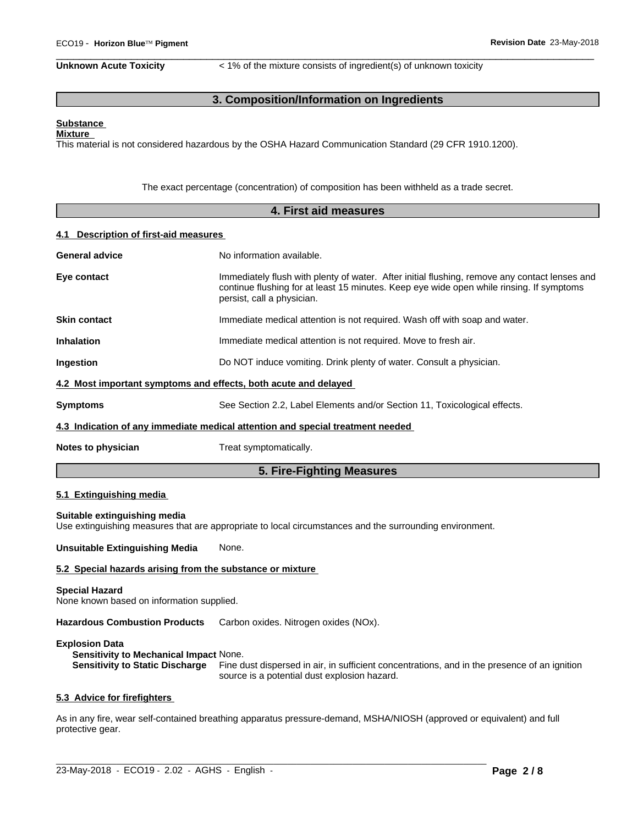**Unknown Acute Toxicity** < 1% of the mixture consists of ingredient(s) of unknown toxicity

 $\overline{\phantom{a}}$  ,  $\overline{\phantom{a}}$  ,  $\overline{\phantom{a}}$  ,  $\overline{\phantom{a}}$  ,  $\overline{\phantom{a}}$  ,  $\overline{\phantom{a}}$  ,  $\overline{\phantom{a}}$  ,  $\overline{\phantom{a}}$  ,  $\overline{\phantom{a}}$  ,  $\overline{\phantom{a}}$  ,  $\overline{\phantom{a}}$  ,  $\overline{\phantom{a}}$  ,  $\overline{\phantom{a}}$  ,  $\overline{\phantom{a}}$  ,  $\overline{\phantom{a}}$  ,  $\overline{\phantom{a}}$ 

# **3. Composition/Information on Ingredients**

#### **Substance Mixture**

This material is not considered hazardous by the OSHA Hazard Communication Standard (29 CFR 1910.1200).

The exact percentage (concentration) of composition has been withheld as a trade secret.

|                                                                    | 4. First aid measures                                                                                                                                                                                                   |
|--------------------------------------------------------------------|-------------------------------------------------------------------------------------------------------------------------------------------------------------------------------------------------------------------------|
| <b>Description of first-aid measures</b><br>4.1                    |                                                                                                                                                                                                                         |
| <b>General advice</b>                                              | No information available.                                                                                                                                                                                               |
| Eye contact                                                        | Immediately flush with plenty of water. After initial flushing, remove any contact lenses and<br>continue flushing for at least 15 minutes. Keep eye wide open while rinsing. If symptoms<br>persist, call a physician. |
| <b>Skin contact</b>                                                | Immediate medical attention is not required. Wash off with soap and water.                                                                                                                                              |
| <b>Inhalation</b>                                                  | Immediate medical attention is not required. Move to fresh air.                                                                                                                                                         |
| Ingestion                                                          | Do NOT induce vomiting. Drink plenty of water. Consult a physician.                                                                                                                                                     |
|                                                                    | 4.2 Most important symptoms and effects, both acute and delayed                                                                                                                                                         |
| <b>Symptoms</b>                                                    | See Section 2.2, Label Elements and/or Section 11, Toxicological effects.                                                                                                                                               |
|                                                                    | 4.3 Indication of any immediate medical attention and special treatment needed                                                                                                                                          |
| Notes to physician                                                 | Treat symptomatically.                                                                                                                                                                                                  |
|                                                                    | 5. Fire-Fighting Measures                                                                                                                                                                                               |
| 5.1 Extinguishing media                                            |                                                                                                                                                                                                                         |
| Suitable extinguishing media                                       | Use extinguishing measures that are appropriate to local circumstances and the surrounding environment.                                                                                                                 |
| <b>Unsuitable Extinguishing Media</b>                              | None.                                                                                                                                                                                                                   |
| 5.2 Special hazards arising from the substance or mixture          |                                                                                                                                                                                                                         |
| <b>Special Hazard</b><br>None known based on information supplied. |                                                                                                                                                                                                                         |

**Hazardous Combustion Products** Carbon oxides. Nitrogen oxides (NOx).

#### **Explosion Data**

**Sensitivity to Mechanical Impact** None. **Sensitivity to Static Discharge** Fine dust dispersed in air, in sufficient concentrations, and in the presence of an ignition source is a potential dust explosion hazard.

#### **5.3 Advice for firefighters**

As in any fire, wear self-contained breathing apparatus pressure-demand, MSHA/NIOSH (approved or equivalent) and full protective gear.

 $\_$  ,  $\_$  ,  $\_$  ,  $\_$  ,  $\_$  ,  $\_$  ,  $\_$  ,  $\_$  ,  $\_$  ,  $\_$  ,  $\_$  ,  $\_$  ,  $\_$  ,  $\_$  ,  $\_$  ,  $\_$  ,  $\_$  ,  $\_$  ,  $\_$  ,  $\_$  ,  $\_$  ,  $\_$  ,  $\_$  ,  $\_$  ,  $\_$  ,  $\_$  ,  $\_$  ,  $\_$  ,  $\_$  ,  $\_$  ,  $\_$  ,  $\_$  ,  $\_$  ,  $\_$  ,  $\_$  ,  $\_$  ,  $\_$  ,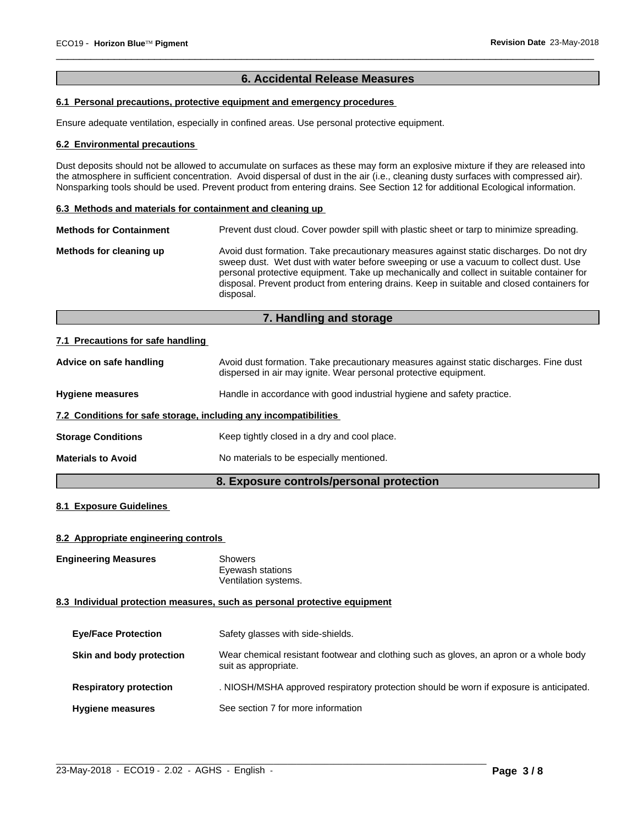# **6. Accidental Release Measures**

 $\overline{\phantom{a}}$  ,  $\overline{\phantom{a}}$  ,  $\overline{\phantom{a}}$  ,  $\overline{\phantom{a}}$  ,  $\overline{\phantom{a}}$  ,  $\overline{\phantom{a}}$  ,  $\overline{\phantom{a}}$  ,  $\overline{\phantom{a}}$  ,  $\overline{\phantom{a}}$  ,  $\overline{\phantom{a}}$  ,  $\overline{\phantom{a}}$  ,  $\overline{\phantom{a}}$  ,  $\overline{\phantom{a}}$  ,  $\overline{\phantom{a}}$  ,  $\overline{\phantom{a}}$  ,  $\overline{\phantom{a}}$ 

# **6.1 Personal precautions, protective equipment and emergency procedures**

Ensure adequate ventilation, especially in confined areas. Use personal protective equipment.

#### **6.2 Environmental precautions**

Dust deposits should not be allowed to accumulate on surfaces as these may form an explosive mixture if they are released into the atmosphere in sufficient concentration. Avoid dispersal of dust in the air (i.e., cleaning dusty surfaces with compressed air). Nonsparking tools should be used. Prevent product from entering drains. See Section 12 for additional Ecological information.

#### **6.3 Methods and materials for containment and cleaning up**

| <b>Methods for Containment</b> | Prevent dust cloud. Cover powder spill with plastic sheet or tarp to minimize spreading.                                                                                                                                                                                                                                                                                                |
|--------------------------------|-----------------------------------------------------------------------------------------------------------------------------------------------------------------------------------------------------------------------------------------------------------------------------------------------------------------------------------------------------------------------------------------|
| Methods for cleaning up        | Avoid dust formation. Take precautionary measures against static discharges. Do not dry<br>sweep dust. Wet dust with water before sweeping or use a vacuum to collect dust. Use<br>personal protective equipment. Take up mechanically and collect in suitable container for<br>disposal. Prevent product from entering drains. Keep in suitable and closed containers for<br>disposal. |

# **7. Handling and storage**

#### **7.1 Precautions for safe handling**

| Advice on safe handling                                          | Avoid dust formation. Take precautionary measures against static discharges. Fine dust<br>dispersed in air may ignite. Wear personal protective equipment. |
|------------------------------------------------------------------|------------------------------------------------------------------------------------------------------------------------------------------------------------|
| <b>Hygiene measures</b>                                          | Handle in accordance with good industrial hygiene and safety practice.                                                                                     |
| 7.2 Conditions for safe storage, including any incompatibilities |                                                                                                                                                            |
| <b>Storage Conditions</b>                                        | Keep tightly closed in a dry and cool place.                                                                                                               |
| <b>Materials to Avoid</b>                                        | No materials to be especially mentioned.                                                                                                                   |
|                                                                  |                                                                                                                                                            |

# **8. Exposure controls/personal protection**

# **8.1 Exposure Guidelines**

#### **8.2 Appropriate engineering controls**

**Engineering Measures** Showers

Eyewash stations Ventilation systems.

#### **8.3 Individual protection measures, such as personal protective equipment**

| <b>Eye/Face Protection</b>    | Safety glasses with side-shields.                                                                              |
|-------------------------------|----------------------------------------------------------------------------------------------------------------|
| Skin and body protection      | Wear chemical resistant footwear and clothing such as gloves, an apron or a whole body<br>suit as appropriate. |
| <b>Respiratory protection</b> | . NIOSH/MSHA approved respiratory protection should be worn if exposure is anticipated.                        |
| <b>Hygiene measures</b>       | See section 7 for more information                                                                             |

 $\_$  ,  $\_$  ,  $\_$  ,  $\_$  ,  $\_$  ,  $\_$  ,  $\_$  ,  $\_$  ,  $\_$  ,  $\_$  ,  $\_$  ,  $\_$  ,  $\_$  ,  $\_$  ,  $\_$  ,  $\_$  ,  $\_$  ,  $\_$  ,  $\_$  ,  $\_$  ,  $\_$  ,  $\_$  ,  $\_$  ,  $\_$  ,  $\_$  ,  $\_$  ,  $\_$  ,  $\_$  ,  $\_$  ,  $\_$  ,  $\_$  ,  $\_$  ,  $\_$  ,  $\_$  ,  $\_$  ,  $\_$  ,  $\_$  ,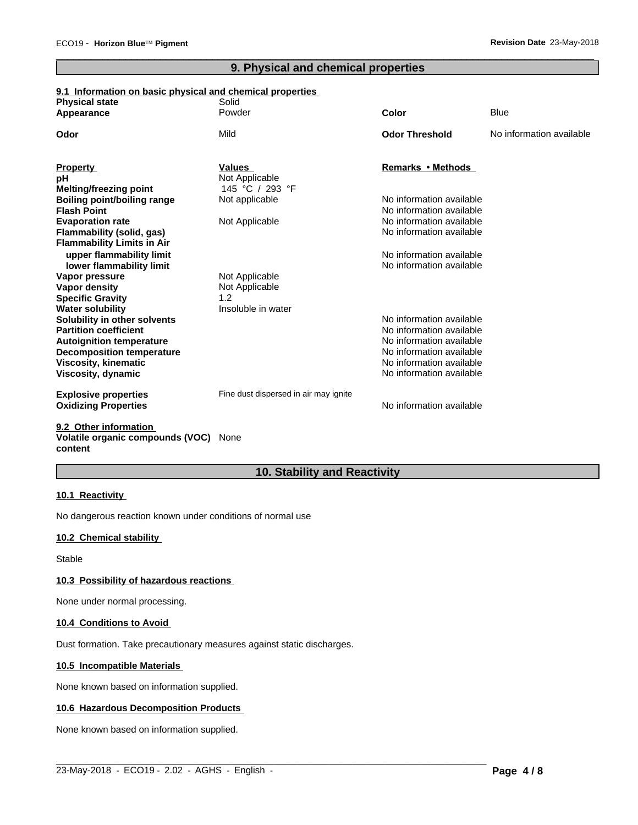# **9. Physical and chemical properties**

 $\overline{\phantom{a}}$  ,  $\overline{\phantom{a}}$  ,  $\overline{\phantom{a}}$  ,  $\overline{\phantom{a}}$  ,  $\overline{\phantom{a}}$  ,  $\overline{\phantom{a}}$  ,  $\overline{\phantom{a}}$  ,  $\overline{\phantom{a}}$  ,  $\overline{\phantom{a}}$  ,  $\overline{\phantom{a}}$  ,  $\overline{\phantom{a}}$  ,  $\overline{\phantom{a}}$  ,  $\overline{\phantom{a}}$  ,  $\overline{\phantom{a}}$  ,  $\overline{\phantom{a}}$  ,  $\overline{\phantom{a}}$ 

# **9.1 Information on basic physical and chemical properties**

| <b>Physical state</b>              | Solid                                 |                          |                          |
|------------------------------------|---------------------------------------|--------------------------|--------------------------|
| Appearance                         | Powder                                | <b>Color</b>             | <b>Blue</b>              |
| Odor                               | Mild                                  | <b>Odor Threshold</b>    | No information available |
| <b>Property</b>                    | <b>Values</b>                         | Remarks • Methods        |                          |
| рH                                 | Not Applicable                        |                          |                          |
| <b>Melting/freezing point</b>      | 145 °C / 293 °F                       |                          |                          |
| <b>Boiling point/boiling range</b> | Not applicable                        | No information available |                          |
| <b>Flash Point</b>                 |                                       | No information available |                          |
| <b>Evaporation rate</b>            | Not Applicable                        | No information available |                          |
| Flammability (solid, gas)          |                                       | No information available |                          |
| <b>Flammability Limits in Air</b>  |                                       |                          |                          |
| upper flammability limit           |                                       | No information available |                          |
| lower flammability limit           |                                       | No information available |                          |
| Vapor pressure                     | Not Applicable                        |                          |                          |
| Vapor density                      | Not Applicable                        |                          |                          |
| <b>Specific Gravity</b>            | 1.2                                   |                          |                          |
| <b>Water solubility</b>            | Insoluble in water                    |                          |                          |
| Solubility in other solvents       |                                       | No information available |                          |
| <b>Partition coefficient</b>       |                                       | No information available |                          |
| <b>Autoignition temperature</b>    |                                       | No information available |                          |
| <b>Decomposition temperature</b>   |                                       | No information available |                          |
| <b>Viscosity, kinematic</b>        |                                       | No information available |                          |
| Viscosity, dynamic                 |                                       | No information available |                          |
| <b>Explosive properties</b>        | Fine dust dispersed in air may ignite |                          |                          |
| <b>Oxidizing Properties</b>        |                                       | No information available |                          |
| 0.0. Other information             |                                       |                          |                          |

#### **9.2 Other information Volatile organic compounds (VOC)** None **content**

# **10. Stability and Reactivity**

 $\_$  ,  $\_$  ,  $\_$  ,  $\_$  ,  $\_$  ,  $\_$  ,  $\_$  ,  $\_$  ,  $\_$  ,  $\_$  ,  $\_$  ,  $\_$  ,  $\_$  ,  $\_$  ,  $\_$  ,  $\_$  ,  $\_$  ,  $\_$  ,  $\_$  ,  $\_$  ,  $\_$  ,  $\_$  ,  $\_$  ,  $\_$  ,  $\_$  ,  $\_$  ,  $\_$  ,  $\_$  ,  $\_$  ,  $\_$  ,  $\_$  ,  $\_$  ,  $\_$  ,  $\_$  ,  $\_$  ,  $\_$  ,  $\_$  ,

#### **10.1 Reactivity**

No dangerous reaction known under conditions of normal use

# **10.2 Chemical stability**

Stable

#### **10.3 Possibility of hazardous reactions**

None under normal processing.

#### **10.4 Conditions to Avoid**

Dust formation. Take precautionary measures against static discharges.

#### **10.5 Incompatible Materials**

None known based on information supplied.

#### **10.6 Hazardous Decomposition Products**

None known based on information supplied.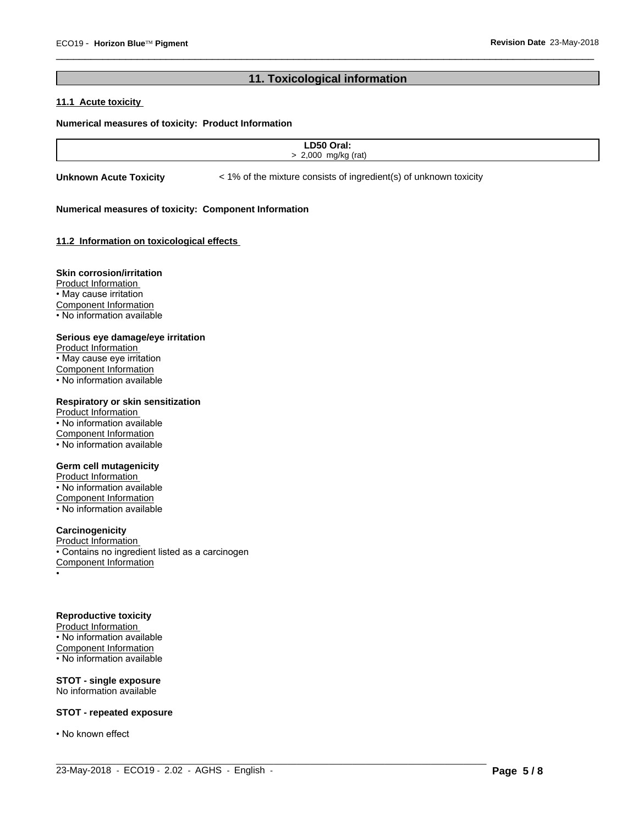# **11. Toxicological information**

 $\overline{\phantom{a}}$  ,  $\overline{\phantom{a}}$  ,  $\overline{\phantom{a}}$  ,  $\overline{\phantom{a}}$  ,  $\overline{\phantom{a}}$  ,  $\overline{\phantom{a}}$  ,  $\overline{\phantom{a}}$  ,  $\overline{\phantom{a}}$  ,  $\overline{\phantom{a}}$  ,  $\overline{\phantom{a}}$  ,  $\overline{\phantom{a}}$  ,  $\overline{\phantom{a}}$  ,  $\overline{\phantom{a}}$  ,  $\overline{\phantom{a}}$  ,  $\overline{\phantom{a}}$  ,  $\overline{\phantom{a}}$ 

# **11.1 Acute toxicity**

#### **Numerical measures of toxicity: Product Information**

 $\_$  ,  $\_$  ,  $\_$  ,  $\_$  ,  $\_$  ,  $\_$  ,  $\_$  ,  $\_$  ,  $\_$  ,  $\_$  ,  $\_$  ,  $\_$  ,  $\_$  ,  $\_$  ,  $\_$  ,  $\_$  ,  $\_$  ,  $\_$  ,  $\_$  ,  $\_$  ,  $\_$  ,  $\_$  ,  $\_$  ,  $\_$  ,  $\_$  ,  $\_$  ,  $\_$  ,  $\_$  ,  $\_$  ,  $\_$  ,  $\_$  ,  $\_$  ,  $\_$  ,  $\_$  ,  $\_$  ,  $\_$  ,  $\_$  ,

**Unknown Acute Toxicity**  $\lt$  1% of the mixture consists of ingredient(s) of unknown toxicity

#### **Numerical measures of toxicity: Component Information**

### **11.2 Information on toxicologicaleffects**

#### **Skin corrosion/irritation**

Product Information • May cause irritation Component Information • No information available

#### **Serious eye damage/eye irritation**

Product Information • May cause eye irritation Component Information • No information available

# **Respiratory or skin sensitization**

Product Information • No information available Component Information • No information available

# **Germ cell mutagenicity**

Product Information • No information available Component Information • No information available

# **Carcinogenicity**

Product Information • Contains no ingredient listed as a carcinogen Component Information •

#### **Reproductive toxicity**

Product Information • No information available Component Information • No information available

**STOT - single exposure** No information available

#### **STOT - repeated exposure**

• No known effect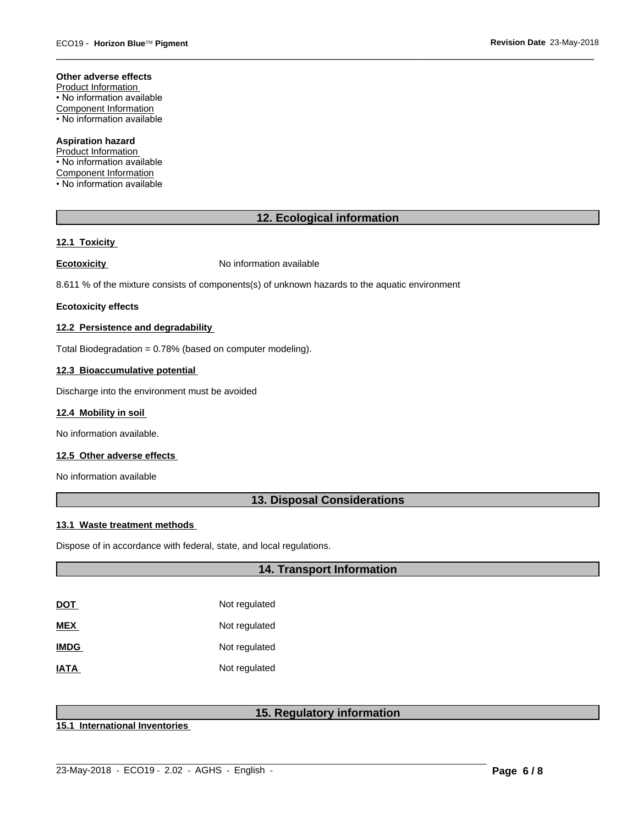#### **Other adverse effects**

Product Information • No information available Component Information • No information available

**Aspiration hazard** Product Information

• No information available Component Information • No information available

# **12. Ecological information**

 $\overline{\phantom{a}}$  ,  $\overline{\phantom{a}}$  ,  $\overline{\phantom{a}}$  ,  $\overline{\phantom{a}}$  ,  $\overline{\phantom{a}}$  ,  $\overline{\phantom{a}}$  ,  $\overline{\phantom{a}}$  ,  $\overline{\phantom{a}}$  ,  $\overline{\phantom{a}}$  ,  $\overline{\phantom{a}}$  ,  $\overline{\phantom{a}}$  ,  $\overline{\phantom{a}}$  ,  $\overline{\phantom{a}}$  ,  $\overline{\phantom{a}}$  ,  $\overline{\phantom{a}}$  ,  $\overline{\phantom{a}}$ 

#### **12.1 Toxicity**

**Ecotoxicity No information available** 

8.611 % of the mixture consists of components(s) of unknown hazards to the aquatic environment

#### **Ecotoxicity effects**

#### **12.2 Persistence and degradability**

Total Biodegradation = 0.78% (based on computer modeling).

#### **12.3 Bioaccumulative potential**

Discharge into the environment must be avoided

#### **12.4 Mobility in soil**

No information available.

#### **12.5 Other adverse effects**

No information available

### **13. Disposal Considerations**

#### **13.1 Waste treatment methods**

Dispose of in accordance with federal, state, and local regulations.

### **14. Transport Information**

| DOT         | Not regulated |
|-------------|---------------|
| MEX         | Not regulated |
| <b>IMDG</b> | Not regulated |
| IATA        | Not regulated |

# **15. Regulatory information**

 $\_$  ,  $\_$  ,  $\_$  ,  $\_$  ,  $\_$  ,  $\_$  ,  $\_$  ,  $\_$  ,  $\_$  ,  $\_$  ,  $\_$  ,  $\_$  ,  $\_$  ,  $\_$  ,  $\_$  ,  $\_$  ,  $\_$  ,  $\_$  ,  $\_$  ,  $\_$  ,  $\_$  ,  $\_$  ,  $\_$  ,  $\_$  ,  $\_$  ,  $\_$  ,  $\_$  ,  $\_$  ,  $\_$  ,  $\_$  ,  $\_$  ,  $\_$  ,  $\_$  ,  $\_$  ,  $\_$  ,  $\_$  ,  $\_$  ,

**15.1 International Inventories**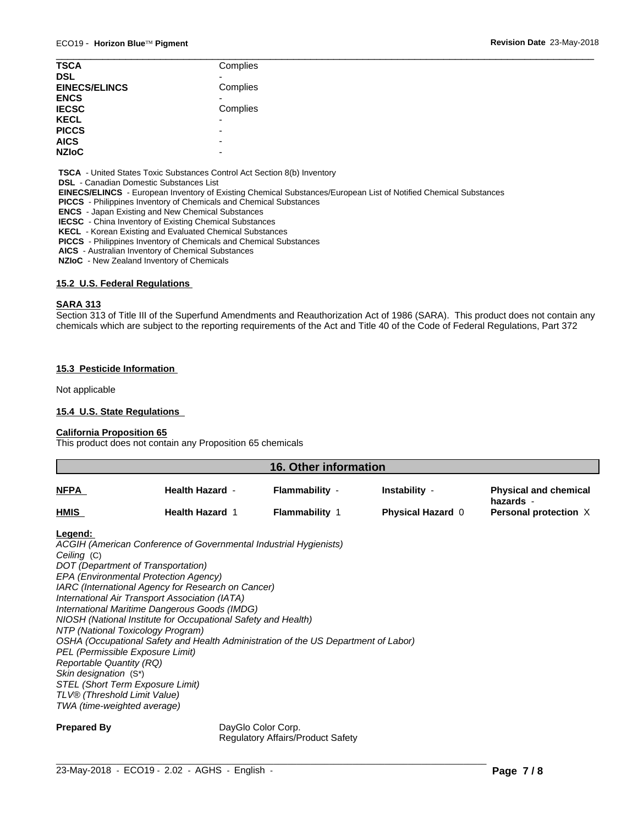| <b>TSCA</b>          | Complies                 |  |
|----------------------|--------------------------|--|
|                      |                          |  |
| <b>DSL</b>           |                          |  |
| <b>EINECS/ELINCS</b> | Complies                 |  |
| <b>ENCS</b>          |                          |  |
| <b>IECSC</b>         | Complies                 |  |
| <b>KECL</b>          | $\overline{\phantom{0}}$ |  |
| <b>PICCS</b>         | -                        |  |
| <b>AICS</b>          | $\overline{\phantom{0}}$ |  |
| <b>NZIoC</b>         | $\overline{\phantom{0}}$ |  |

 **TSCA** - United States Toxic Substances Control Act Section 8(b) Inventory

 **DSL** - Canadian Domestic Substances List

 **EINECS/ELINCS** - European Inventory of Existing Chemical Substances/European List of Notified Chemical Substances

 **PICCS** - Philippines Inventory of Chemicals and Chemical Substances

 **ENCS** - Japan Existing and New Chemical Substances

 **IECSC** - China Inventory of Existing Chemical Substances

 **KECL** - Korean Existing and Evaluated Chemical Substances

 **PICCS** - Philippines Inventory of Chemicals and Chemical Substances

 **AICS** - Australian Inventory of Chemical Substances

 **NZIoC** - New Zealand Inventory of Chemicals

### **15.2 U.S. Federal Regulations**

#### **SARA 313**

Section 313 of Title III of the Superfund Amendments and Reauthorization Act of 1986 (SARA). This product does not contain any chemicals which are subject to the reporting requirements of the Act and Title 40 of the Code of Federal Regulations, Part 372

#### **15.3 Pesticide Information**

Not applicable

#### **15.4 U.S. State Regulations**

#### **California Proposition 65**

This product does not contain any Proposition 65 chemicals

| <b>16. Other information</b> |                        |                       |                          |                                           |
|------------------------------|------------------------|-----------------------|--------------------------|-------------------------------------------|
| <b>NFPA</b>                  | <b>Health Hazard -</b> | Flammability -        | Instability -            | <b>Physical and chemical</b><br>hazards - |
| <b>HMIS</b>                  | <b>Health Hazard 1</b> | <b>Flammability 1</b> | <b>Physical Hazard 0</b> | Personal protection X                     |
|                              |                        |                       |                          |                                           |

#### **Legend:**

*ACGIH (American Conference of Governmental Industrial Hygienists) Ceiling* (C) *DOT (Department of Transportation) EPA (Environmental Protection Agency) IARC (International Agency for Research on Cancer) International Air Transport Association (IATA) International Maritime Dangerous Goods (IMDG) NIOSH (National Institute for Occupational Safety and Health) NTP (National Toxicology Program) OSHA (Occupational Safety and Health Administration of the US Department of Labor) PEL (Permissible Exposure Limit) Reportable Quantity (RQ) Skin designation* (S\*) *STEL (Short Term Exposure Limit) TLV® (Threshold Limit Value) TWA (time-weighted average)*

**Prepared By** DayGlo Color Corp. Regulatory Affairs/Product Safety

 $\_$  ,  $\_$  ,  $\_$  ,  $\_$  ,  $\_$  ,  $\_$  ,  $\_$  ,  $\_$  ,  $\_$  ,  $\_$  ,  $\_$  ,  $\_$  ,  $\_$  ,  $\_$  ,  $\_$  ,  $\_$  ,  $\_$  ,  $\_$  ,  $\_$  ,  $\_$  ,  $\_$  ,  $\_$  ,  $\_$  ,  $\_$  ,  $\_$  ,  $\_$  ,  $\_$  ,  $\_$  ,  $\_$  ,  $\_$  ,  $\_$  ,  $\_$  ,  $\_$  ,  $\_$  ,  $\_$  ,  $\_$  ,  $\_$  ,